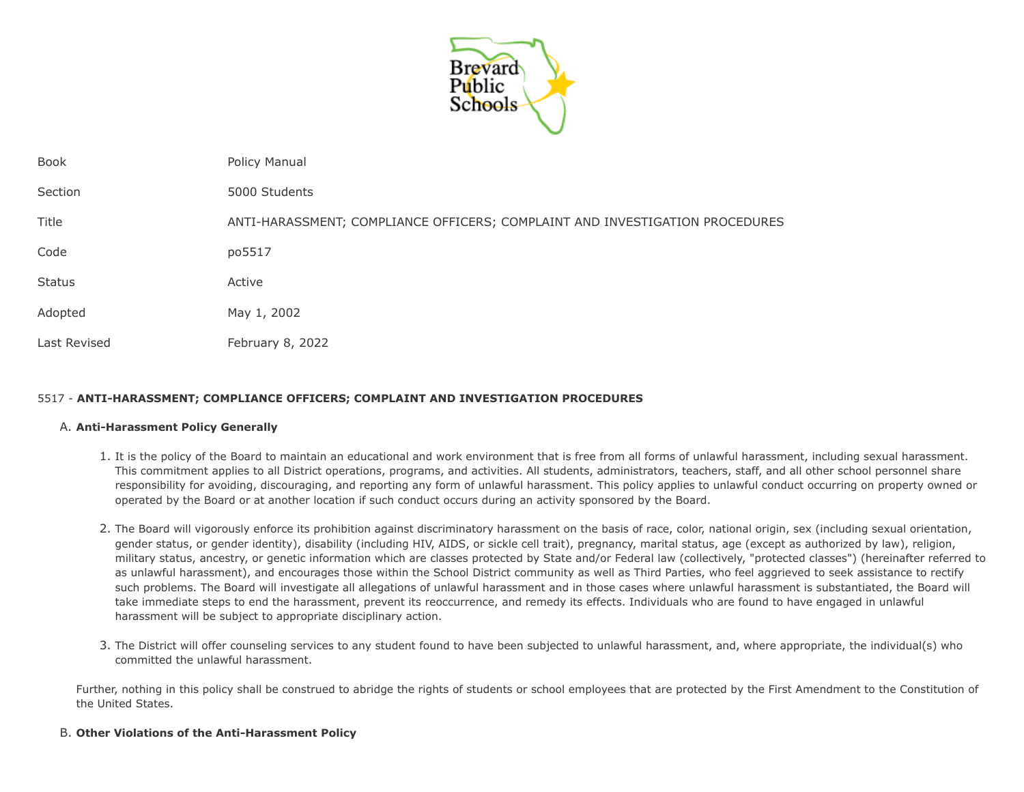

| Book         | Policy Manual                                                                |
|--------------|------------------------------------------------------------------------------|
| Section      | 5000 Students                                                                |
| Title        | ANTI-HARASSMENT; COMPLIANCE OFFICERS; COMPLAINT AND INVESTIGATION PROCEDURES |
| Code         | po5517                                                                       |
| Status       | Active                                                                       |
| Adopted      | May 1, 2002                                                                  |
| Last Revised | February 8, 2022                                                             |

# 5517 - **ANTI-HARASSMENT; COMPLIANCE OFFICERS; COMPLAINT AND INVESTIGATION PROCEDURES**

#### A. **Anti-Harassment Policy Generally**

- 1. It is the policy of the Board to maintain an educational and work environment that is free from all forms of unlawful harassment, including sexual harassment. This commitment applies to all District operations, programs, and activities. All students, administrators, teachers, staff, and all other school personnel share responsibility for avoiding, discouraging, and reporting any form of unlawful harassment. This policy applies to unlawful conduct occurring on property owned or operated by the Board or at another location if such conduct occurs during an activity sponsored by the Board.
- 2. The Board will vigorously enforce its prohibition against discriminatory harassment on the basis of race, color, national origin, sex (including sexual orientation, gender status, or gender identity), disability (including HIV, AIDS, or sickle cell trait), pregnancy, marital status, age (except as authorized by law), religion, military status, ancestry, or genetic information which are classes protected by State and/or Federal law (collectively, "protected classes") (hereinafter referred to as unlawful harassment), and encourages those within the School District community as well as Third Parties, who feel aggrieved to seek assistance to rectify such problems. The Board will investigate all allegations of unlawful harassment and in those cases where unlawful harassment is substantiated, the Board will take immediate steps to end the harassment, prevent its reoccurrence, and remedy its effects. Individuals who are found to have engaged in unlawful harassment will be subject to appropriate disciplinary action.
- 3. The District will offer counseling services to any student found to have been subjected to unlawful harassment, and, where appropriate, the individual(s) who committed the unlawful harassment.

Further, nothing in this policy shall be construed to abridge the rights of students or school employees that are protected by the First Amendment to the Constitution of the United States.

#### B. **Other Violations of the Anti-Harassment Policy**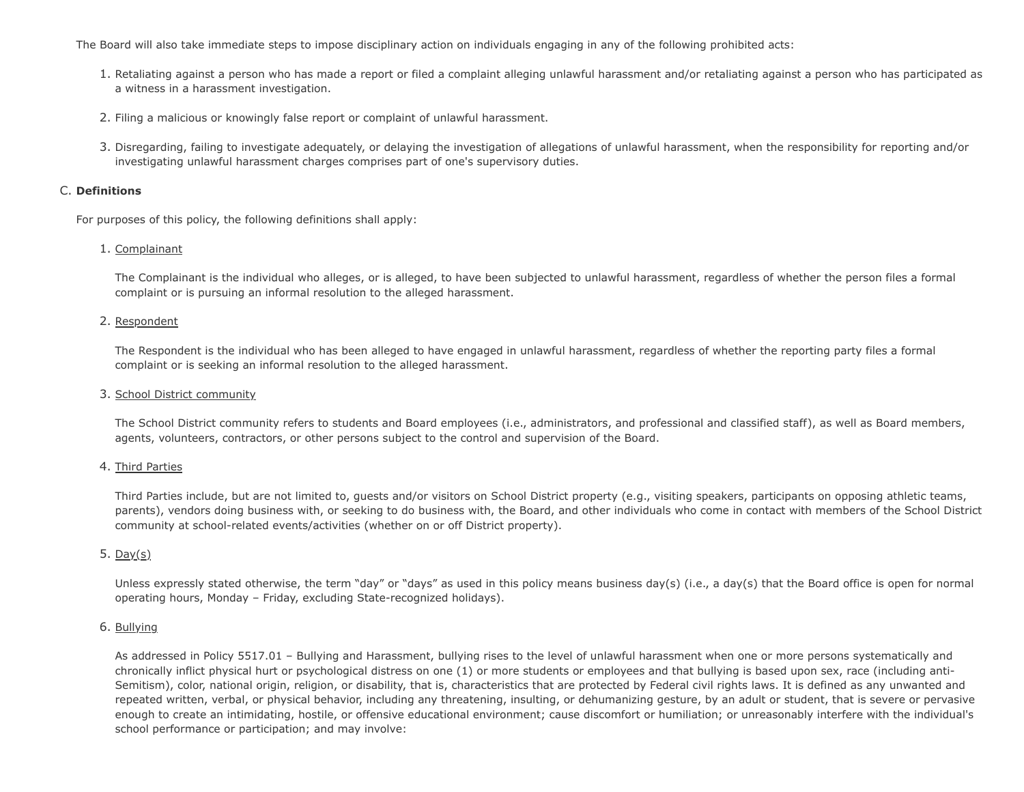The Board will also take immediate steps to impose disciplinary action on individuals engaging in any of the following prohibited acts:

- 1. Retaliating against a person who has made a report or filed a complaint alleging unlawful harassment and/or retaliating against a person who has participated as a witness in a harassment investigation.
- 2. Filing a malicious or knowingly false report or complaint of unlawful harassment.
- 3. Disregarding, failing to investigate adequately, or delaying the investigation of allegations of unlawful harassment, when the responsibility for reporting and/or investigating unlawful harassment charges comprises part of one's supervisory duties.

### C. **Definitions**

For purposes of this policy, the following definitions shall apply:

### 1. Complainant

The Complainant is the individual who alleges, or is alleged, to have been subjected to unlawful harassment, regardless of whether the person files a formal complaint or is pursuing an informal resolution to the alleged harassment.

### 2. Respondent

The Respondent is the individual who has been alleged to have engaged in unlawful harassment, regardless of whether the reporting party files a formal complaint or is seeking an informal resolution to the alleged harassment.

#### 3. School District community

The School District community refers to students and Board employees (i.e., administrators, and professional and classified staff), as well as Board members, agents, volunteers, contractors, or other persons subject to the control and supervision of the Board.

# 4. Third Parties

Third Parties include, but are not limited to, guests and/or visitors on School District property (e.g., visiting speakers, participants on opposing athletic teams, parents), vendors doing business with, or seeking to do business with, the Board, and other individuals who come in contact with members of the School District community at school-related events/activities (whether on or off District property).

# 5. Day(s)

Unless expressly stated otherwise, the term "day" or "days" as used in this policy means business day(s) (i.e., a day(s) that the Board office is open for normal operating hours, Monday – Friday, excluding State-recognized holidays).

#### 6. Bullying

As addressed in Policy 5517.01 – Bullying and Harassment, bullying rises to the level of unlawful harassment when one or more persons systematically and chronically inflict physical hurt or psychological distress on one (1) or more students or employees and that bullying is based upon sex, race (including anti-Semitism), color, national origin, religion, or disability, that is, characteristics that are protected by Federal civil rights laws. It is defined as any unwanted and repeated written, verbal, or physical behavior, including any threatening, insulting, or dehumanizing gesture, by an adult or student, that is severe or pervasive enough to create an intimidating, hostile, or offensive educational environment; cause discomfort or humiliation; or unreasonably interfere with the individual's school performance or participation; and may involve: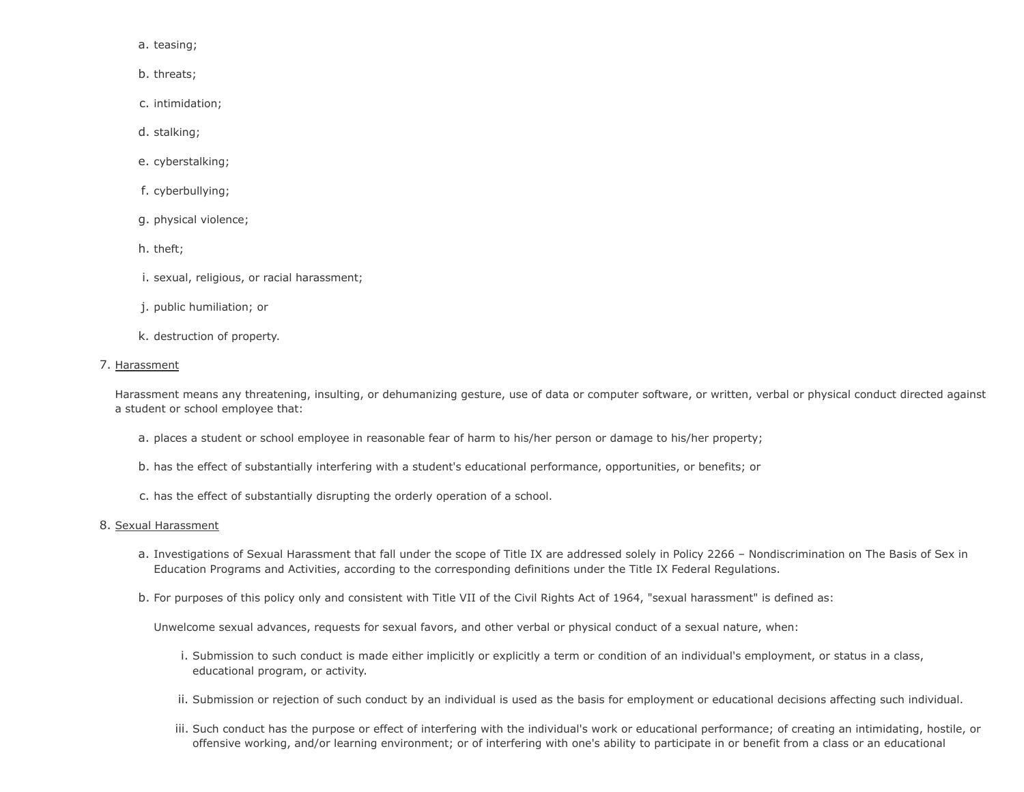a. teasing;

- b. threats;
- c. intimidation;
- d. stalking;
- e. cyberstalking;
- f. cyberbullying;
- g. physical violence;
- h. theft;
- i. sexual, religious, or racial harassment;
- j. public humiliation; or
- k. destruction of property.

#### 7. Harassment

Harassment means any threatening, insulting, or dehumanizing gesture, use of data or computer software, or written, verbal or physical conduct directed against a student or school employee that:

- a. places a student or school employee in reasonable fear of harm to his/her person or damage to his/her property;
- b. has the effect of substantially interfering with a student's educational performance, opportunities, or benefits; or
- c. has the effect of substantially disrupting the orderly operation of a school.

#### 8. Sexual Harassment

- a. Investigations of Sexual Harassment that fall under the scope of Title IX are addressed solely in Policy 2266 Nondiscrimination on The Basis of Sex in Education Programs and Activities, according to the corresponding definitions under the Title IX Federal Regulations.
- b. For purposes of this policy only and consistent with Title VII of the Civil Rights Act of 1964, "sexual harassment" is defined as:

Unwelcome sexual advances, requests for sexual favors, and other verbal or physical conduct of a sexual nature, when:

- i. Submission to such conduct is made either implicitly or explicitly a term or condition of an individual's employment, or status in a class, educational program, or activity.
- ii. Submission or rejection of such conduct by an individual is used as the basis for employment or educational decisions affecting such individual.
- iii. Such conduct has the purpose or effect of interfering with the individual's work or educational performance; of creating an intimidating, hostile, or offensive working, and/or learning environment; or of interfering with one's ability to participate in or benefit from a class or an educational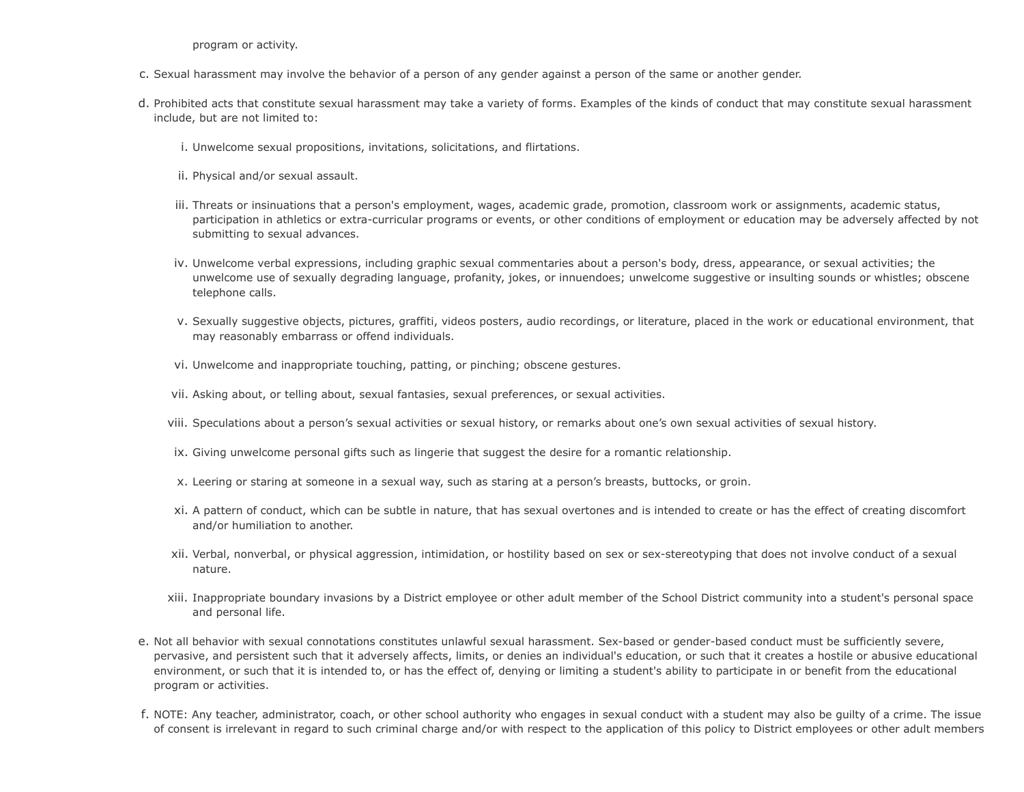program or activity.

- c. Sexual harassment may involve the behavior of a person of any gender against a person of the same or another gender.
- d. Prohibited acts that constitute sexual harassment may take a variety of forms. Examples of the kinds of conduct that may constitute sexual harassment include, but are not limited to:
	- i. Unwelcome sexual propositions, invitations, solicitations, and flirtations.
	- ii. Physical and/or sexual assault.
	- iii. Threats or insinuations that a person's employment, wages, academic grade, promotion, classroom work or assignments, academic status, participation in athletics or extra-curricular programs or events, or other conditions of employment or education may be adversely affected by not submitting to sexual advances.
	- iv. Unwelcome verbal expressions, including graphic sexual commentaries about a person's body, dress, appearance, or sexual activities; the unwelcome use of sexually degrading language, profanity, jokes, or innuendoes; unwelcome suggestive or insulting sounds or whistles; obscene telephone calls.
	- v. Sexually suggestive objects, pictures, graffiti, videos posters, audio recordings, or literature, placed in the work or educational environment, that may reasonably embarrass or offend individuals.
	- vi. Unwelcome and inappropriate touching, patting, or pinching; obscene gestures.
	- vii. Asking about, or telling about, sexual fantasies, sexual preferences, or sexual activities.
	- viii. Speculations about a person's sexual activities or sexual history, or remarks about one's own sexual activities of sexual history.
	- ix. Giving unwelcome personal gifts such as lingerie that suggest the desire for a romantic relationship.
	- x. Leering or staring at someone in a sexual way, such as staring at a person's breasts, buttocks, or groin.
	- xi. A pattern of conduct, which can be subtle in nature, that has sexual overtones and is intended to create or has the effect of creating discomfort and/or humiliation to another.
	- xii. Verbal, nonverbal, or physical aggression, intimidation, or hostility based on sex or sex-stereotyping that does not involve conduct of a sexual nature.
	- xiii. Inappropriate boundary invasions by a District employee or other adult member of the School District community into a student's personal space and personal life.
- e. Not all behavior with sexual connotations constitutes unlawful sexual harassment. Sex-based or gender-based conduct must be sufficiently severe, pervasive, and persistent such that it adversely affects, limits, or denies an individual's education, or such that it creates a hostile or abusive educational environment, or such that it is intended to, or has the effect of, denying or limiting a student's ability to participate in or benefit from the educational program or activities.
- f. NOTE: Any teacher, administrator, coach, or other school authority who engages in sexual conduct with a student may also be guilty of a crime. The issue of consent is irrelevant in regard to such criminal charge and/or with respect to the application of this policy to District employees or other adult members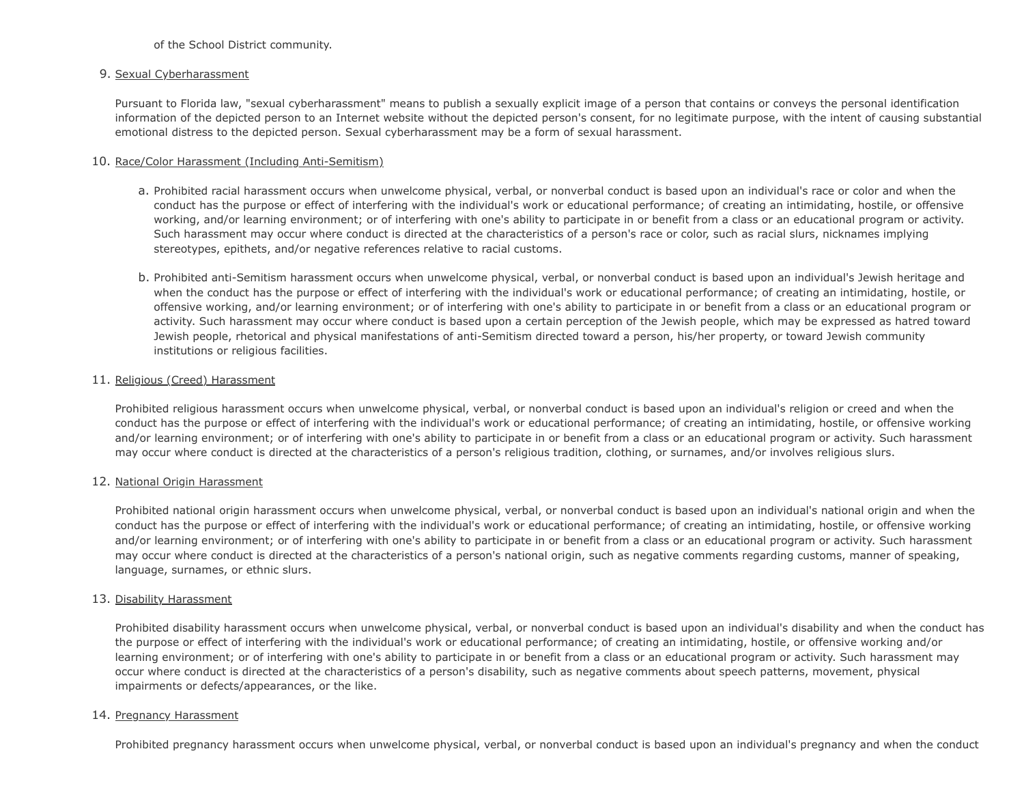### of the School District community.

### 9. Sexual Cyberharassment

Pursuant to Florida law, "sexual cyberharassment" means to publish a sexually explicit image of a person that contains or conveys the personal identification information of the depicted person to an Internet website without the depicted person's consent, for no legitimate purpose, with the intent of causing substantial emotional distress to the depicted person. Sexual cyberharassment may be a form of sexual harassment.

### 10. Race/Color Harassment (Including Anti-Semitism)

- a. Prohibited racial harassment occurs when unwelcome physical, verbal, or nonverbal conduct is based upon an individual's race or color and when the conduct has the purpose or effect of interfering with the individual's work or educational performance; of creating an intimidating, hostile, or offensive working, and/or learning environment; or of interfering with one's ability to participate in or benefit from a class or an educational program or activity. Such harassment may occur where conduct is directed at the characteristics of a person's race or color, such as racial slurs, nicknames implying stereotypes, epithets, and/or negative references relative to racial customs.
- b. Prohibited anti-Semitism harassment occurs when unwelcome physical, verbal, or nonverbal conduct is based upon an individual's Jewish heritage and when the conduct has the purpose or effect of interfering with the individual's work or educational performance; of creating an intimidating, hostile, or offensive working, and/or learning environment; or of interfering with one's ability to participate in or benefit from a class or an educational program or activity. Such harassment may occur where conduct is based upon a certain perception of the Jewish people, which may be expressed as hatred toward Jewish people, rhetorical and physical manifestations of anti-Semitism directed toward a person, his/her property, or toward Jewish community institutions or religious facilities.

### 11. Religious (Creed) Harassment

Prohibited religious harassment occurs when unwelcome physical, verbal, or nonverbal conduct is based upon an individual's religion or creed and when the conduct has the purpose or effect of interfering with the individual's work or educational performance; of creating an intimidating, hostile, or offensive working and/or learning environment; or of interfering with one's ability to participate in or benefit from a class or an educational program or activity. Such harassment may occur where conduct is directed at the characteristics of a person's religious tradition, clothing, or surnames, and/or involves religious slurs.

# 12. National Origin Harassment

Prohibited national origin harassment occurs when unwelcome physical, verbal, or nonverbal conduct is based upon an individual's national origin and when the conduct has the purpose or effect of interfering with the individual's work or educational performance; of creating an intimidating, hostile, or offensive working and/or learning environment; or of interfering with one's ability to participate in or benefit from a class or an educational program or activity. Such harassment may occur where conduct is directed at the characteristics of a person's national origin, such as negative comments regarding customs, manner of speaking, language, surnames, or ethnic slurs.

#### 13. Disability Harassment

Prohibited disability harassment occurs when unwelcome physical, verbal, or nonverbal conduct is based upon an individual's disability and when the conduct has the purpose or effect of interfering with the individual's work or educational performance; of creating an intimidating, hostile, or offensive working and/or learning environment; or of interfering with one's ability to participate in or benefit from a class or an educational program or activity. Such harassment may occur where conduct is directed at the characteristics of a person's disability, such as negative comments about speech patterns, movement, physical impairments or defects/appearances, or the like.

#### 14. Pregnancy Harassment

Prohibited pregnancy harassment occurs when unwelcome physical, verbal, or nonverbal conduct is based upon an individual's pregnancy and when the conduct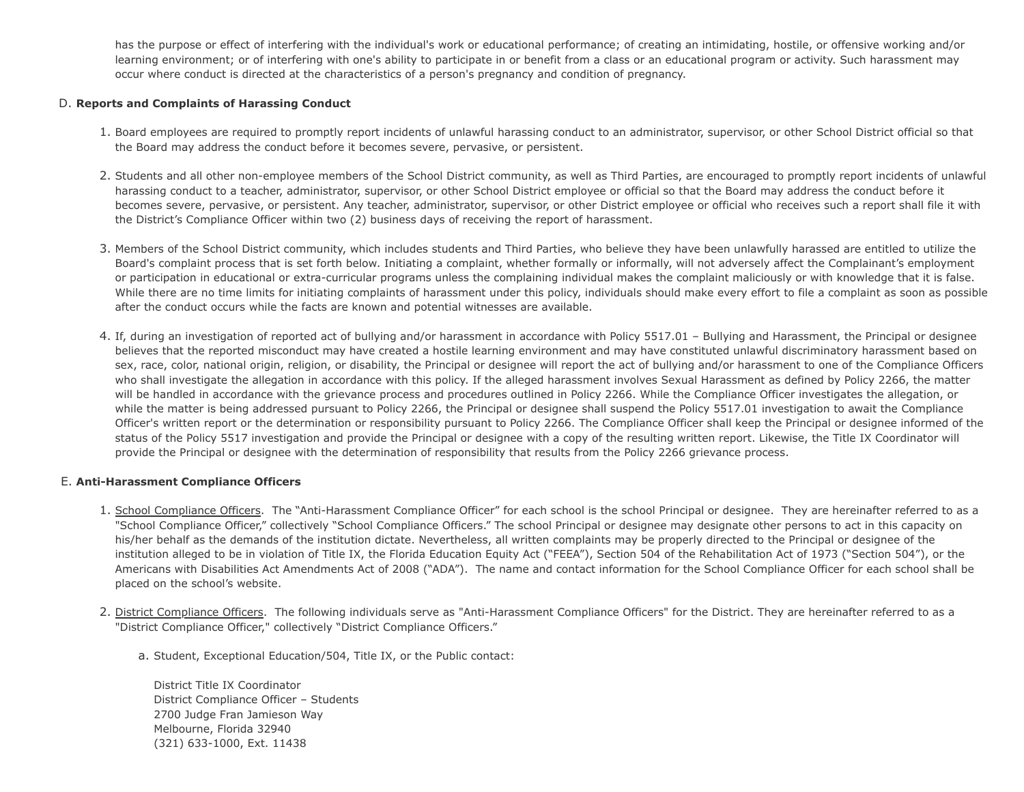has the purpose or effect of interfering with the individual's work or educational performance; of creating an intimidating, hostile, or offensive working and/or learning environment; or of interfering with one's ability to participate in or benefit from a class or an educational program or activity. Such harassment may occur where conduct is directed at the characteristics of a person's pregnancy and condition of pregnancy.

### D. **Reports and Complaints of Harassing Conduct**

- 1. Board employees are required to promptly report incidents of unlawful harassing conduct to an administrator, supervisor, or other School District official so that the Board may address the conduct before it becomes severe, pervasive, or persistent.
- 2. Students and all other non-employee members of the School District community, as well as Third Parties, are encouraged to promptly report incidents of unlawful harassing conduct to a teacher, administrator, supervisor, or other School District employee or official so that the Board may address the conduct before it becomes severe, pervasive, or persistent. Any teacher, administrator, supervisor, or other District employee or official who receives such a report shall file it with the District's Compliance Officer within two (2) business days of receiving the report of harassment.
- 3. Members of the School District community, which includes students and Third Parties, who believe they have been unlawfully harassed are entitled to utilize the Board's complaint process that is set forth below. Initiating a complaint, whether formally or informally, will not adversely affect the Complainant's employment or participation in educational or extra-curricular programs unless the complaining individual makes the complaint maliciously or with knowledge that it is false. While there are no time limits for initiating complaints of harassment under this policy, individuals should make every effort to file a complaint as soon as possible after the conduct occurs while the facts are known and potential witnesses are available.
- 4. If, during an investigation of reported act of bullying and/or harassment in accordance with Policy 5517.01 Bullying and Harassment, the Principal or designee believes that the reported misconduct may have created a hostile learning environment and may have constituted unlawful discriminatory harassment based on sex, race, color, national origin, religion, or disability, the Principal or designee will report the act of bullying and/or harassment to one of the Compliance Officers who shall investigate the allegation in accordance with this policy. If the alleged harassment involves Sexual Harassment as defined by Policy 2266, the matter will be handled in accordance with the grievance process and procedures outlined in Policy 2266. While the Compliance Officer investigates the allegation, or while the matter is being addressed pursuant to Policy 2266, the Principal or designee shall suspend the Policy 5517.01 investigation to await the Compliance Officer's written report or the determination or responsibility pursuant to Policy 2266. The Compliance Officer shall keep the Principal or designee informed of the status of the Policy 5517 investigation and provide the Principal or designee with a copy of the resulting written report. Likewise, the Title IX Coordinator will provide the Principal or designee with the determination of responsibility that results from the Policy 2266 grievance process.

# E. **Anti-Harassment Compliance Officers**

- 1. School Compliance Officers. The "Anti-Harassment Compliance Officer" for each school is the school Principal or designee. They are hereinafter referred to as a "School Compliance Officer," collectively "School Compliance Officers." The school Principal or designee may designate other persons to act in this capacity on his/her behalf as the demands of the institution dictate. Nevertheless, all written complaints may be properly directed to the Principal or designee of the institution alleged to be in violation of Title IX, the Florida Education Equity Act ("FEEA"), Section 504 of the Rehabilitation Act of 1973 ("Section 504"), or the Americans with Disabilities Act Amendments Act of 2008 ("ADA"). The name and contact information for the School Compliance Officer for each school shall be placed on the school's website.
- 2. District Compliance Officers. The following individuals serve as "Anti-Harassment Compliance Officers" for the District. They are hereinafter referred to as a "District Compliance Officer," collectively "District Compliance Officers."
	- a. Student, Exceptional Education/504, Title IX, or the Public contact:

District Title IX Coordinator District Compliance Officer – Students 2700 Judge Fran Jamieson Way Melbourne, Florida 32940 (321) 633-1000, Ext. 11438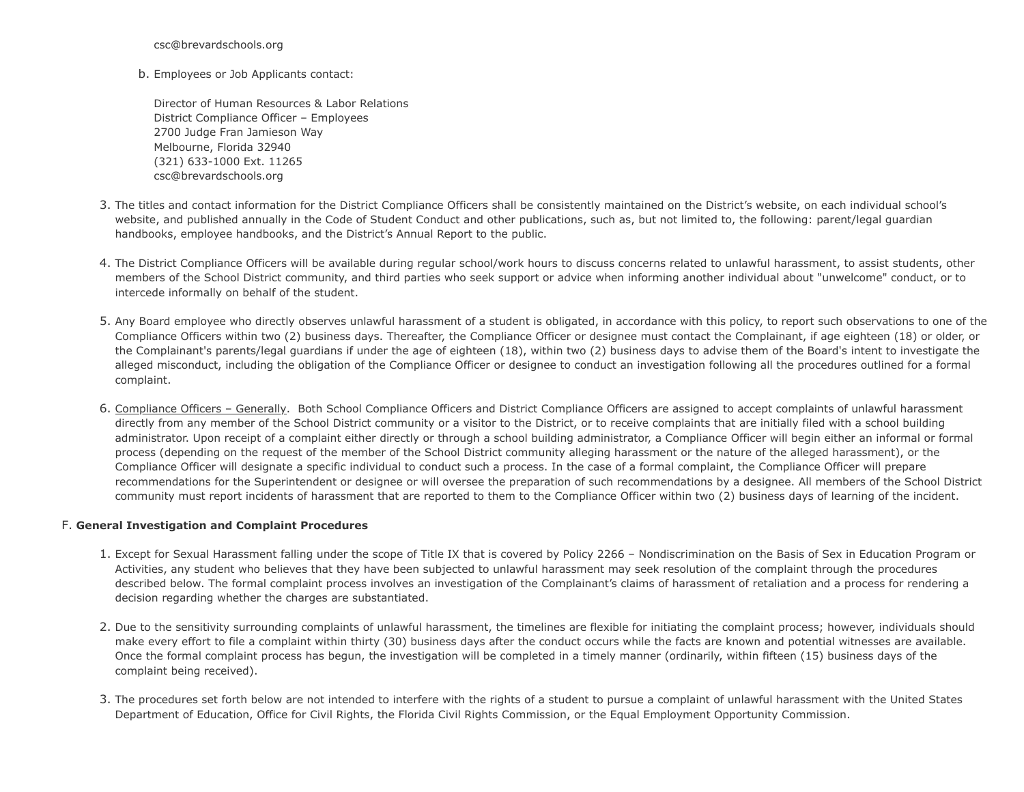csc@brevardschools.org

b. Employees or Job Applicants contact:

Director of Human Resources & Labor Relations District Compliance Officer – Employees 2700 Judge Fran Jamieson Way Melbourne, Florida 32940 (321) 633-1000 Ext. 11265 csc@brevardschools.org

- 3. The titles and contact information for the District Compliance Officers shall be consistently maintained on the District's website, on each individual school's website, and published annually in the Code of Student Conduct and other publications, such as, but not limited to, the following: parent/legal guardian handbooks, employee handbooks, and the District's Annual Report to the public.
- 4. The District Compliance Officers will be available during regular school/work hours to discuss concerns related to unlawful harassment, to assist students, other members of the School District community, and third parties who seek support or advice when informing another individual about "unwelcome" conduct, or to intercede informally on behalf of the student.
- 5. Any Board employee who directly observes unlawful harassment of a student is obligated, in accordance with this policy, to report such observations to one of the Compliance Officers within two (2) business days. Thereafter, the Compliance Officer or designee must contact the Complainant, if age eighteen (18) or older, or the Complainant's parents/legal guardians if under the age of eighteen (18), within two (2) business days to advise them of the Board's intent to investigate the alleged misconduct, including the obligation of the Compliance Officer or designee to conduct an investigation following all the procedures outlined for a formal complaint.
- 6. Compliance Officers Generally. Both School Compliance Officers and District Compliance Officers are assigned to accept complaints of unlawful harassment directly from any member of the School District community or a visitor to the District, or to receive complaints that are initially filed with a school building administrator. Upon receipt of a complaint either directly or through a school building administrator, a Compliance Officer will begin either an informal or formal process (depending on the request of the member of the School District community alleging harassment or the nature of the alleged harassment), or the Compliance Officer will designate a specific individual to conduct such a process. In the case of a formal complaint, the Compliance Officer will prepare recommendations for the Superintendent or designee or will oversee the preparation of such recommendations by a designee. All members of the School District community must report incidents of harassment that are reported to them to the Compliance Officer within two (2) business days of learning of the incident.

# F. **General Investigation and Complaint Procedures**

- 1. Except for Sexual Harassment falling under the scope of Title IX that is covered by Policy 2266 Nondiscrimination on the Basis of Sex in Education Program or Activities, any student who believes that they have been subjected to unlawful harassment may seek resolution of the complaint through the procedures described below. The formal complaint process involves an investigation of the Complainant's claims of harassment of retaliation and a process for rendering a decision regarding whether the charges are substantiated.
- 2. Due to the sensitivity surrounding complaints of unlawful harassment, the timelines are flexible for initiating the complaint process; however, individuals should make every effort to file a complaint within thirty (30) business days after the conduct occurs while the facts are known and potential witnesses are available. Once the formal complaint process has begun, the investigation will be completed in a timely manner (ordinarily, within fifteen (15) business days of the complaint being received).
- 3. The procedures set forth below are not intended to interfere with the rights of a student to pursue a complaint of unlawful harassment with the United States Department of Education, Office for Civil Rights, the Florida Civil Rights Commission, or the Equal Employment Opportunity Commission.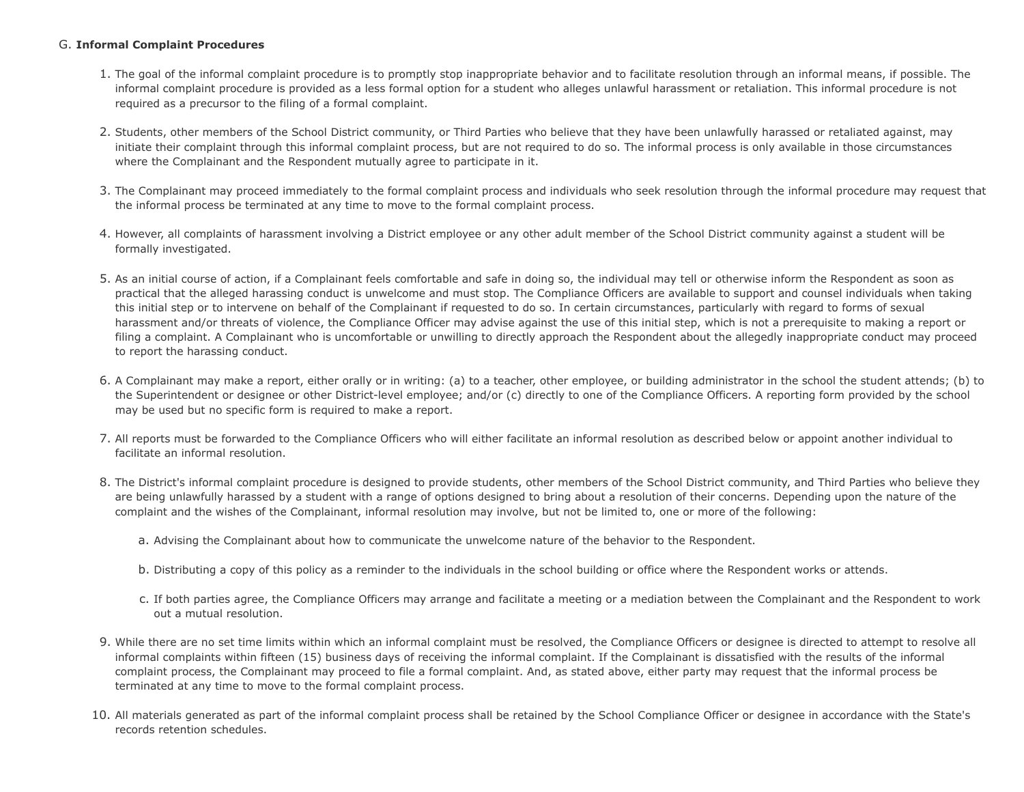# G. **Informal Complaint Procedures**

- 1. The goal of the informal complaint procedure is to promptly stop inappropriate behavior and to facilitate resolution through an informal means, if possible. The informal complaint procedure is provided as a less formal option for a student who alleges unlawful harassment or retaliation. This informal procedure is not required as a precursor to the filing of a formal complaint.
- 2. Students, other members of the School District community, or Third Parties who believe that they have been unlawfully harassed or retaliated against, may initiate their complaint through this informal complaint process, but are not required to do so. The informal process is only available in those circumstances where the Complainant and the Respondent mutually agree to participate in it.
- 3. The Complainant may proceed immediately to the formal complaint process and individuals who seek resolution through the informal procedure may request that the informal process be terminated at any time to move to the formal complaint process.
- 4. However, all complaints of harassment involving a District employee or any other adult member of the School District community against a student will be formally investigated.
- 5. As an initial course of action, if a Complainant feels comfortable and safe in doing so, the individual may tell or otherwise inform the Respondent as soon as practical that the alleged harassing conduct is unwelcome and must stop. The Compliance Officers are available to support and counsel individuals when taking this initial step or to intervene on behalf of the Complainant if requested to do so. In certain circumstances, particularly with regard to forms of sexual harassment and/or threats of violence, the Compliance Officer may advise against the use of this initial step, which is not a prerequisite to making a report or filing a complaint. A Complainant who is uncomfortable or unwilling to directly approach the Respondent about the allegedly inappropriate conduct may proceed to report the harassing conduct.
- 6. A Complainant may make a report, either orally or in writing: (a) to a teacher, other employee, or building administrator in the school the student attends; (b) to the Superintendent or designee or other District-level employee; and/or (c) directly to one of the Compliance Officers. A reporting form provided by the school may be used but no specific form is required to make a report.
- 7. All reports must be forwarded to the Compliance Officers who will either facilitate an informal resolution as described below or appoint another individual to facilitate an informal resolution.
- 8. The District's informal complaint procedure is designed to provide students, other members of the School District community, and Third Parties who believe they are being unlawfully harassed by a student with a range of options designed to bring about a resolution of their concerns. Depending upon the nature of the complaint and the wishes of the Complainant, informal resolution may involve, but not be limited to, one or more of the following:
	- a. Advising the Complainant about how to communicate the unwelcome nature of the behavior to the Respondent.
	- b. Distributing a copy of this policy as a reminder to the individuals in the school building or office where the Respondent works or attends.
	- c. If both parties agree, the Compliance Officers may arrange and facilitate a meeting or a mediation between the Complainant and the Respondent to work out a mutual resolution.
- 9. While there are no set time limits within which an informal complaint must be resolved, the Compliance Officers or designee is directed to attempt to resolve all informal complaints within fifteen (15) business days of receiving the informal complaint. If the Complainant is dissatisfied with the results of the informal complaint process, the Complainant may proceed to file a formal complaint. And, as stated above, either party may request that the informal process be terminated at any time to move to the formal complaint process.
- 10. All materials generated as part of the informal complaint process shall be retained by the School Compliance Officer or designee in accordance with the State's records retention schedules.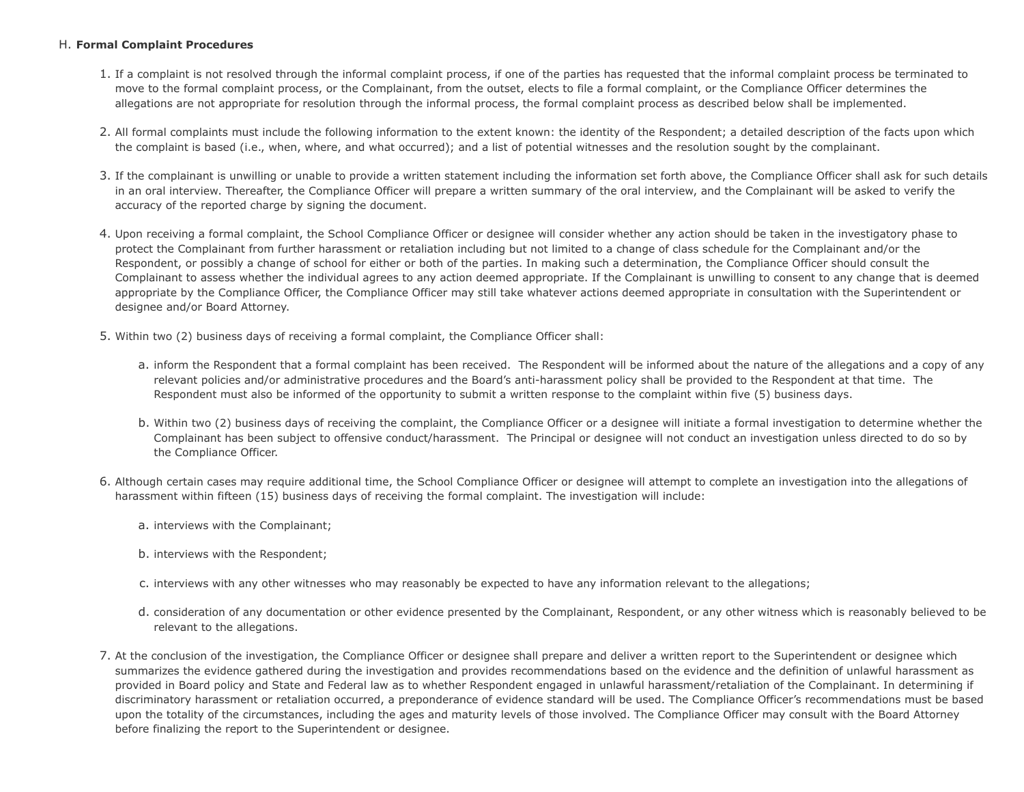# H. **Formal Complaint Procedures**

- 1. If a complaint is not resolved through the informal complaint process, if one of the parties has requested that the informal complaint process be terminated to move to the formal complaint process, or the Complainant, from the outset, elects to file a formal complaint, or the Compliance Officer determines the allegations are not appropriate for resolution through the informal process, the formal complaint process as described below shall be implemented.
- 2. All formal complaints must include the following information to the extent known: the identity of the Respondent; a detailed description of the facts upon which the complaint is based (i.e., when, where, and what occurred); and a list of potential witnesses and the resolution sought by the complainant.
- 3. If the complainant is unwilling or unable to provide a written statement including the information set forth above, the Compliance Officer shall ask for such details in an oral interview. Thereafter, the Compliance Officer will prepare a written summary of the oral interview, and the Complainant will be asked to verify the accuracy of the reported charge by signing the document.
- 4. Upon receiving a formal complaint, the School Compliance Officer or designee will consider whether any action should be taken in the investigatory phase to protect the Complainant from further harassment or retaliation including but not limited to a change of class schedule for the Complainant and/or the Respondent, or possibly a change of school for either or both of the parties. In making such a determination, the Compliance Officer should consult the Complainant to assess whether the individual agrees to any action deemed appropriate. If the Complainant is unwilling to consent to any change that is deemed appropriate by the Compliance Officer, the Compliance Officer may still take whatever actions deemed appropriate in consultation with the Superintendent or designee and/or Board Attorney.
- 5. Within two (2) business days of receiving a formal complaint, the Compliance Officer shall:
	- a. inform the Respondent that a formal complaint has been received. The Respondent will be informed about the nature of the allegations and a copy of any relevant policies and/or administrative procedures and the Board's anti-harassment policy shall be provided to the Respondent at that time. The Respondent must also be informed of the opportunity to submit a written response to the complaint within five (5) business days.
	- b. Within two (2) business days of receiving the complaint, the Compliance Officer or a designee will initiate a formal investigation to determine whether the Complainant has been subject to offensive conduct/harassment. The Principal or designee will not conduct an investigation unless directed to do so by the Compliance Officer.
- 6. Although certain cases may require additional time, the School Compliance Officer or designee will attempt to complete an investigation into the allegations of harassment within fifteen (15) business days of receiving the formal complaint. The investigation will include:
	- a. interviews with the Complainant;
	- b. interviews with the Respondent;
	- c. interviews with any other witnesses who may reasonably be expected to have any information relevant to the allegations;
	- d. consideration of any documentation or other evidence presented by the Complainant, Respondent, or any other witness which is reasonably believed to be relevant to the allegations.
- 7. At the conclusion of the investigation, the Compliance Officer or designee shall prepare and deliver a written report to the Superintendent or designee which summarizes the evidence gathered during the investigation and provides recommendations based on the evidence and the definition of unlawful harassment as provided in Board policy and State and Federal law as to whether Respondent engaged in unlawful harassment/retaliation of the Complainant. In determining if discriminatory harassment or retaliation occurred, a preponderance of evidence standard will be used. The Compliance Officer's recommendations must be based upon the totality of the circumstances, including the ages and maturity levels of those involved. The Compliance Officer may consult with the Board Attorney before finalizing the report to the Superintendent or designee.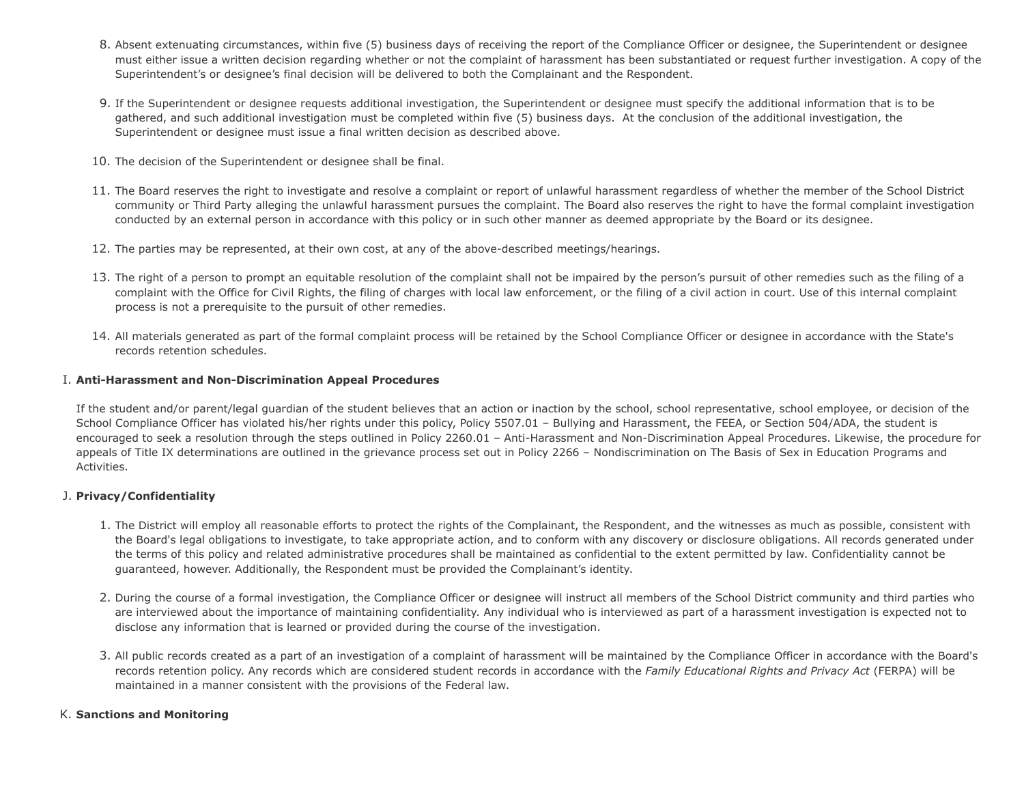- 8. Absent extenuating circumstances, within five (5) business days of receiving the report of the Compliance Officer or designee, the Superintendent or designee must either issue a written decision regarding whether or not the complaint of harassment has been substantiated or request further investigation. A copy of the Superintendent's or designee's final decision will be delivered to both the Complainant and the Respondent.
- 9. If the Superintendent or designee requests additional investigation, the Superintendent or designee must specify the additional information that is to be gathered, and such additional investigation must be completed within five (5) business days. At the conclusion of the additional investigation, the Superintendent or designee must issue a final written decision as described above.
- 10. The decision of the Superintendent or designee shall be final.
- 11. The Board reserves the right to investigate and resolve a complaint or report of unlawful harassment regardless of whether the member of the School District community or Third Party alleging the unlawful harassment pursues the complaint. The Board also reserves the right to have the formal complaint investigation conducted by an external person in accordance with this policy or in such other manner as deemed appropriate by the Board or its designee.
- 12. The parties may be represented, at their own cost, at any of the above-described meetings/hearings.
- 13. The right of a person to prompt an equitable resolution of the complaint shall not be impaired by the person's pursuit of other remedies such as the filing of a complaint with the Office for Civil Rights, the filing of charges with local law enforcement, or the filing of a civil action in court. Use of this internal complaint process is not a prerequisite to the pursuit of other remedies.
- 14. All materials generated as part of the formal complaint process will be retained by the School Compliance Officer or designee in accordance with the State's records retention schedules.

### I. **Anti-Harassment and Non-Discrimination Appeal Procedures**

If the student and/or parent/legal guardian of the student believes that an action or inaction by the school, school representative, school employee, or decision of the School Compliance Officer has violated his/her rights under this policy, Policy 5507.01 – Bullying and Harassment, the FEEA, or Section 504/ADA, the student is encouraged to seek a resolution through the steps outlined in Policy 2260.01 – Anti-Harassment and Non-Discrimination Appeal Procedures. Likewise, the procedure for appeals of Title IX determinations are outlined in the grievance process set out in Policy 2266 – Nondiscrimination on The Basis of Sex in Education Programs and Activities.

# J. **Privacy/Confidentiality**

- 1. The District will employ all reasonable efforts to protect the rights of the Complainant, the Respondent, and the witnesses as much as possible, consistent with the Board's legal obligations to investigate, to take appropriate action, and to conform with any discovery or disclosure obligations. All records generated under the terms of this policy and related administrative procedures shall be maintained as confidential to the extent permitted by law. Confidentiality cannot be guaranteed, however. Additionally, the Respondent must be provided the Complainant's identity.
- 2. During the course of a formal investigation, the Compliance Officer or designee will instruct all members of the School District community and third parties who are interviewed about the importance of maintaining confidentiality. Any individual who is interviewed as part of a harassment investigation is expected not to disclose any information that is learned or provided during the course of the investigation.
- 3. All public records created as a part of an investigation of a complaint of harassment will be maintained by the Compliance Officer in accordance with the Board's records retention policy. Any records which are considered student records in accordance with the *Family Educational Rights and Privacy Act* (FERPA) will be maintained in a manner consistent with the provisions of the Federal law.

# K. **Sanctions and Monitoring**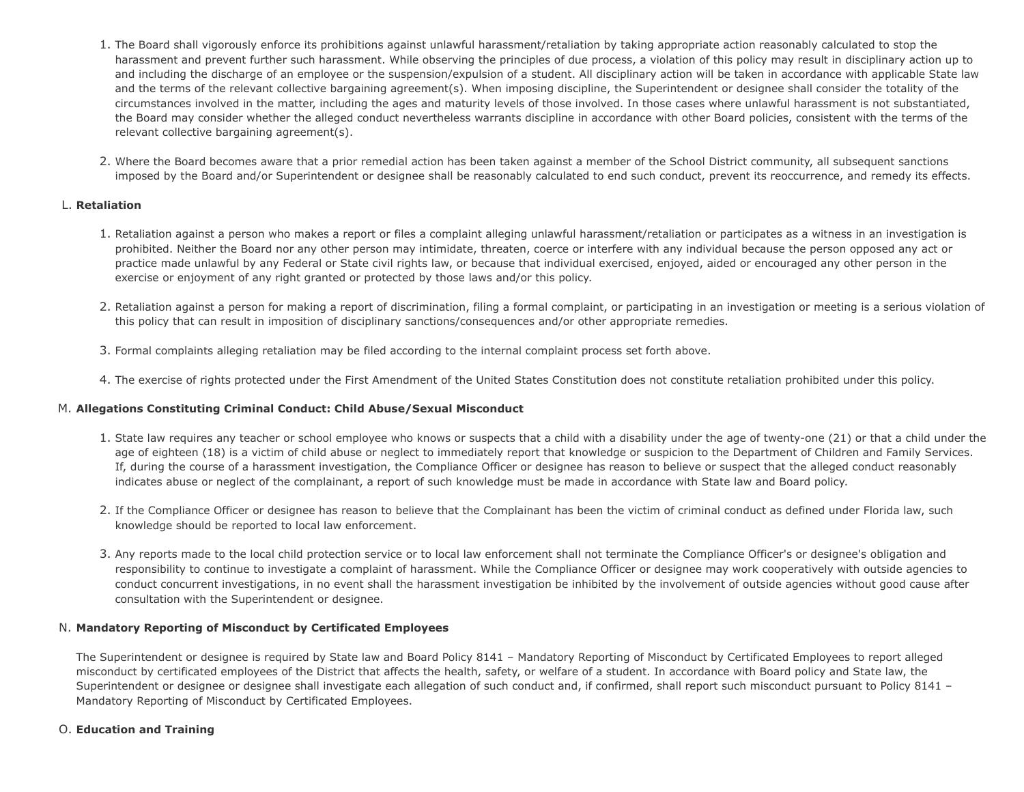- 1. The Board shall vigorously enforce its prohibitions against unlawful harassment/retaliation by taking appropriate action reasonably calculated to stop the harassment and prevent further such harassment. While observing the principles of due process, a violation of this policy may result in disciplinary action up to and including the discharge of an employee or the suspension/expulsion of a student. All disciplinary action will be taken in accordance with applicable State law and the terms of the relevant collective bargaining agreement(s). When imposing discipline, the Superintendent or designee shall consider the totality of the circumstances involved in the matter, including the ages and maturity levels of those involved. In those cases where unlawful harassment is not substantiated, the Board may consider whether the alleged conduct nevertheless warrants discipline in accordance with other Board policies, consistent with the terms of the relevant collective bargaining agreement(s).
- 2. Where the Board becomes aware that a prior remedial action has been taken against a member of the School District community, all subsequent sanctions imposed by the Board and/or Superintendent or designee shall be reasonably calculated to end such conduct, prevent its reoccurrence, and remedy its effects.

# L. **Retaliation**

- 1. Retaliation against a person who makes a report or files a complaint alleging unlawful harassment/retaliation or participates as a witness in an investigation is prohibited. Neither the Board nor any other person may intimidate, threaten, coerce or interfere with any individual because the person opposed any act or practice made unlawful by any Federal or State civil rights law, or because that individual exercised, enjoyed, aided or encouraged any other person in the exercise or enjoyment of any right granted or protected by those laws and/or this policy.
- 2. Retaliation against a person for making a report of discrimination, filing a formal complaint, or participating in an investigation or meeting is a serious violation of this policy that can result in imposition of disciplinary sanctions/consequences and/or other appropriate remedies.
- 3. Formal complaints alleging retaliation may be filed according to the internal complaint process set forth above.
- 4. The exercise of rights protected under the First Amendment of the United States Constitution does not constitute retaliation prohibited under this policy.

# M. **Allegations Constituting Criminal Conduct: Child Abuse/Sexual Misconduct**

- 1. State law requires any teacher or school employee who knows or suspects that a child with a disability under the age of twenty-one (21) or that a child under the age of eighteen (18) is a victim of child abuse or neglect to immediately report that knowledge or suspicion to the Department of Children and Family Services. If, during the course of a harassment investigation, the Compliance Officer or designee has reason to believe or suspect that the alleged conduct reasonably indicates abuse or neglect of the complainant, a report of such knowledge must be made in accordance with State law and Board policy.
- 2. If the Compliance Officer or designee has reason to believe that the Complainant has been the victim of criminal conduct as defined under Florida law, such knowledge should be reported to local law enforcement.
- 3. Any reports made to the local child protection service or to local law enforcement shall not terminate the Compliance Officer's or designee's obligation and responsibility to continue to investigate a complaint of harassment. While the Compliance Officer or designee may work cooperatively with outside agencies to conduct concurrent investigations, in no event shall the harassment investigation be inhibited by the involvement of outside agencies without good cause after consultation with the Superintendent or designee.

# N. **Mandatory Reporting of Misconduct by Certificated Employees**

The Superintendent or designee is required by State law and Board Policy 8141 – Mandatory Reporting of Misconduct by Certificated Employees to report alleged misconduct by certificated employees of the District that affects the health, safety, or welfare of a student. In accordance with Board policy and State law, the Superintendent or designee or designee shall investigate each allegation of such conduct and, if confirmed, shall report such misconduct pursuant to Policy 8141 -Mandatory Reporting of Misconduct by Certificated Employees.

#### O. **Education and Training**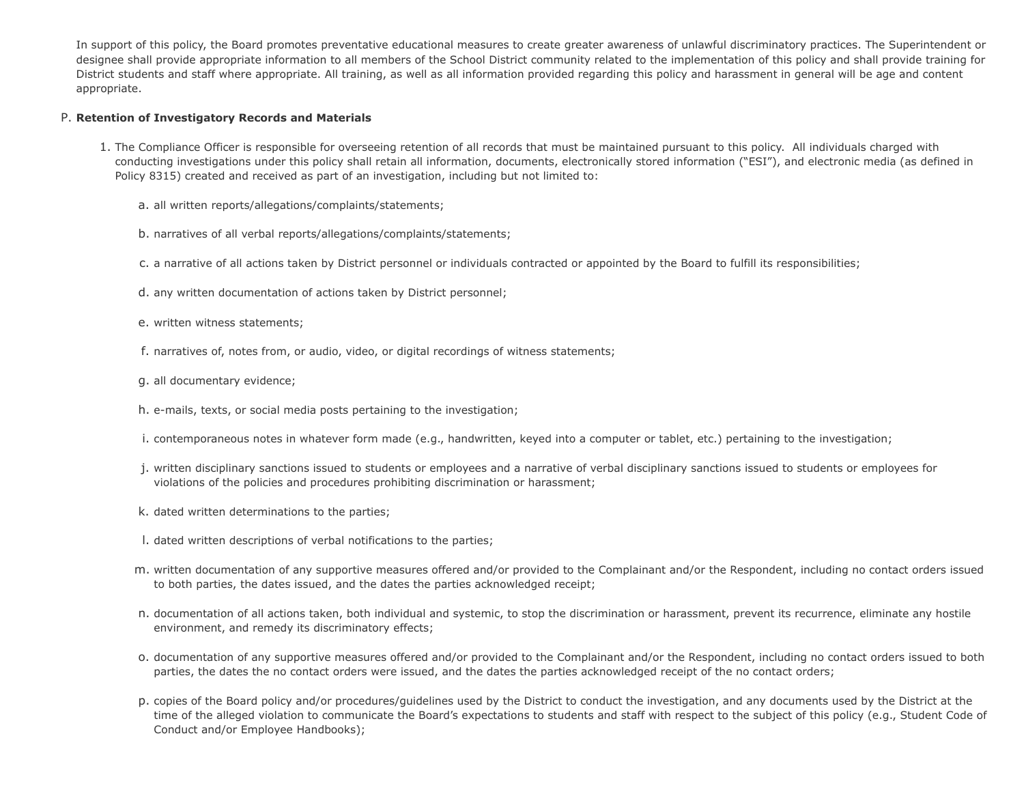In support of this policy, the Board promotes preventative educational measures to create greater awareness of unlawful discriminatory practices. The Superintendent or designee shall provide appropriate information to all members of the School District community related to the implementation of this policy and shall provide training for District students and staff where appropriate. All training, as well as all information provided regarding this policy and harassment in general will be age and content appropriate.

### P. **Retention of Investigatory Records and Materials**

- 1. The Compliance Officer is responsible for overseeing retention of all records that must be maintained pursuant to this policy. All individuals charged with conducting investigations under this policy shall retain all information, documents, electronically stored information ("ESI"), and electronic media (as defined in Policy 8315) created and received as part of an investigation, including but not limited to:
	- a. all written reports/allegations/complaints/statements;
	- b. narratives of all verbal reports/allegations/complaints/statements;
	- c. a narrative of all actions taken by District personnel or individuals contracted or appointed by the Board to fulfill its responsibilities;
	- d. any written documentation of actions taken by District personnel;
	- e. written witness statements;
	- f. narratives of, notes from, or audio, video, or digital recordings of witness statements;
	- g. all documentary evidence;
	- h. e-mails, texts, or social media posts pertaining to the investigation;
	- i. contemporaneous notes in whatever form made (e.g., handwritten, keyed into a computer or tablet, etc.) pertaining to the investigation;
	- j. written disciplinary sanctions issued to students or employees and a narrative of verbal disciplinary sanctions issued to students or employees for violations of the policies and procedures prohibiting discrimination or harassment;
	- k. dated written determinations to the parties;
	- l. dated written descriptions of verbal notifications to the parties;
	- m. written documentation of any supportive measures offered and/or provided to the Complainant and/or the Respondent, including no contact orders issued to both parties, the dates issued, and the dates the parties acknowledged receipt;
	- n. documentation of all actions taken, both individual and systemic, to stop the discrimination or harassment, prevent its recurrence, eliminate any hostile environment, and remedy its discriminatory effects;
	- o. documentation of any supportive measures offered and/or provided to the Complainant and/or the Respondent, including no contact orders issued to both parties, the dates the no contact orders were issued, and the dates the parties acknowledged receipt of the no contact orders;
	- p. copies of the Board policy and/or procedures/guidelines used by the District to conduct the investigation, and any documents used by the District at the time of the alleged violation to communicate the Board's expectations to students and staff with respect to the subject of this policy (e.g., Student Code of Conduct and/or Employee Handbooks);